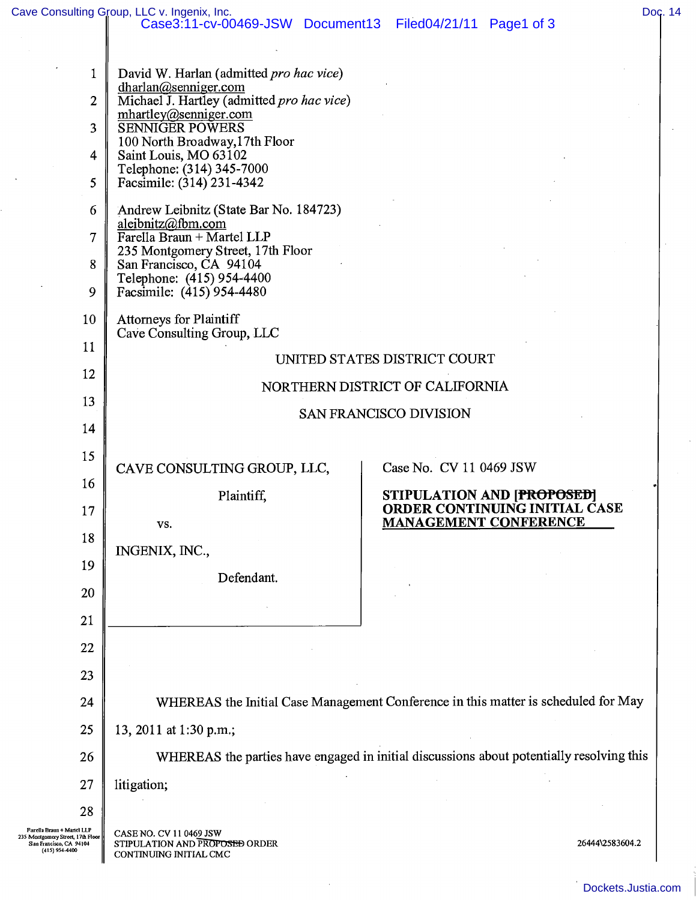$\Delta$ 

| 1                                                                                                        | David W. Harlan (admitted pro hac vice)                                                                                                                                          |                                                                                             |  |
|----------------------------------------------------------------------------------------------------------|----------------------------------------------------------------------------------------------------------------------------------------------------------------------------------|---------------------------------------------------------------------------------------------|--|
| $\overline{2}$                                                                                           | dharlan@senniger.com<br>Michael J. Hartley (admitted pro hac vice)<br>mhartley@senniger.com<br><b>SENNIGER POWERS</b><br>100 North Broadway, 17th Floor<br>Saint Louis, MO 63102 |                                                                                             |  |
| 3                                                                                                        |                                                                                                                                                                                  |                                                                                             |  |
| 4                                                                                                        |                                                                                                                                                                                  |                                                                                             |  |
| 5                                                                                                        | Telephone: (314) 345-7000<br>Facsimile: (314) 231-4342                                                                                                                           |                                                                                             |  |
| 6                                                                                                        | Andrew Leibnitz (State Bar No. 184723)                                                                                                                                           |                                                                                             |  |
| $\tau$                                                                                                   | aleibnitz@fbm.com<br>Farella Braun + Martel LLP                                                                                                                                  |                                                                                             |  |
| 8                                                                                                        | 235 Montgomery Street, 17th Floor<br>San Francisco, CA 94104                                                                                                                     |                                                                                             |  |
| 9                                                                                                        | Telephone: (415) 954-4400<br>Facsimile: (415) 954-4480                                                                                                                           |                                                                                             |  |
| 10                                                                                                       | <b>Attorneys for Plaintiff</b><br>Cave Consulting Group, LLC                                                                                                                     |                                                                                             |  |
| 11                                                                                                       | UNITED STATES DISTRICT COURT                                                                                                                                                     |                                                                                             |  |
| 12                                                                                                       |                                                                                                                                                                                  |                                                                                             |  |
| 13                                                                                                       | NORTHERN DISTRICT OF CALIFORNIA<br><b>SAN FRANCISCO DIVISION</b>                                                                                                                 |                                                                                             |  |
| 14                                                                                                       |                                                                                                                                                                                  |                                                                                             |  |
| 15                                                                                                       |                                                                                                                                                                                  |                                                                                             |  |
| 16                                                                                                       | CAVE CONSULTING GROUP, LLC,                                                                                                                                                      | Case No. CV 11 0469 JSW                                                                     |  |
| 17                                                                                                       | Plaintiff,<br>VS.                                                                                                                                                                | STIPULATION AND [PROPOSED]<br>ORDER CONTINUING INITIAL CASE<br><b>MANAGEMENT CONFERENCE</b> |  |
| 18                                                                                                       | INGENIX, INC.,                                                                                                                                                                   |                                                                                             |  |
| 19                                                                                                       | Defendant.                                                                                                                                                                       |                                                                                             |  |
| 20                                                                                                       |                                                                                                                                                                                  |                                                                                             |  |
| 21                                                                                                       |                                                                                                                                                                                  |                                                                                             |  |
| 22                                                                                                       |                                                                                                                                                                                  |                                                                                             |  |
| 23                                                                                                       |                                                                                                                                                                                  |                                                                                             |  |
| 24                                                                                                       | WHEREAS the Initial Case Management Conference in this matter is scheduled for May                                                                                               |                                                                                             |  |
| 25                                                                                                       | 13, 2011 at 1:30 p.m.;                                                                                                                                                           |                                                                                             |  |
| 26                                                                                                       | WHEREAS the parties have engaged in initial discussions about potentially resolving this                                                                                         |                                                                                             |  |
| 27                                                                                                       | litigation;                                                                                                                                                                      |                                                                                             |  |
| 28                                                                                                       |                                                                                                                                                                                  |                                                                                             |  |
| Farella Braun + Martel LLP<br>Montgomery Street, 17th Floor<br>San Francisco, CA 94104<br>(415) 954-4400 | CASE NO. CV 11 0469 JSW<br>STIPULATION AND PROPOSED ORDER<br>CONTINUING INITIAL CMC                                                                                              | 26444\2583604.2                                                                             |  |
|                                                                                                          |                                                                                                                                                                                  |                                                                                             |  |

 $\bar{\omega}$